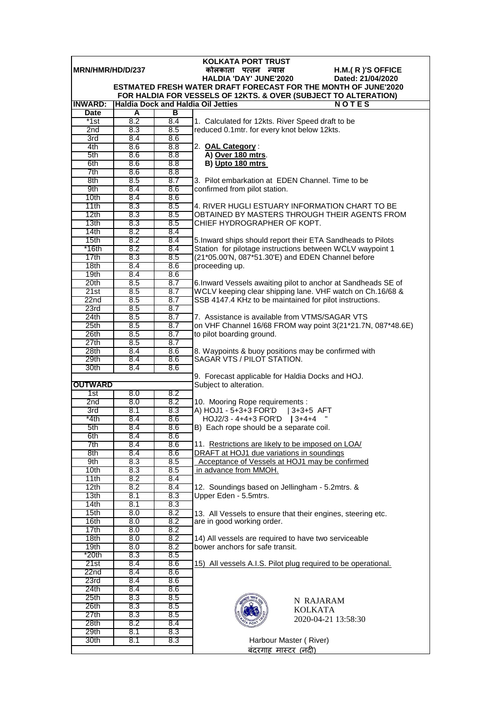|                                                                     |            |            | <b>KOLKATA PORT TRUST</b>                                                                                                   |  |  |  |
|---------------------------------------------------------------------|------------|------------|-----------------------------------------------------------------------------------------------------------------------------|--|--|--|
| <b>IMRN/HMR/HD/D/237</b><br>कोलकाता पत्तन न्यास<br>H.M.(R)'S OFFICE |            |            |                                                                                                                             |  |  |  |
|                                                                     |            |            | <b>HALDIA 'DAY' JUNE'2020</b><br>Dated: 21/04/2020<br><b>ESTMATED FRESH WATER DRAFT FORECAST FOR THE MONTH OF JUNE'2020</b> |  |  |  |
|                                                                     |            |            | FOR HALDIA FOR VESSELS OF 12KTS. & OVER (SUBJECT TO ALTERATION)                                                             |  |  |  |
| <b>INWARD:</b>                                                      |            |            | <b>Haldia Dock and Haldia Oil Jetties</b><br><b>NOTES</b>                                                                   |  |  |  |
| <b>Date</b>                                                         | A          | В          |                                                                                                                             |  |  |  |
| *1st                                                                | 8.2        | 8.4        | 1. Calculated for 12kts. River Speed draft to be                                                                            |  |  |  |
| 2nd                                                                 | 8.3        | 8.5        | reduced 0.1mtr. for every knot below 12kts.                                                                                 |  |  |  |
| 3rd                                                                 | 8.4        | 8.6        |                                                                                                                             |  |  |  |
| 4th                                                                 | 8.6        | 8.8        | 2. OAL Category:                                                                                                            |  |  |  |
| 5th                                                                 | 8.6        | 8.8        | A) Over 180 mtrs.                                                                                                           |  |  |  |
| 6th                                                                 | 8.6        | 8.8        | B) Upto 180 mtrs                                                                                                            |  |  |  |
| 7th<br>8th                                                          | 8.6<br>8.5 | 8.8<br>8.7 | 3. Pilot embarkation at EDEN Channel. Time to be                                                                            |  |  |  |
| 9th                                                                 | 8.4        | 8.6        | confirmed from pilot station.                                                                                               |  |  |  |
| 10 <sub>th</sub>                                                    | 8.4        | 8.6        |                                                                                                                             |  |  |  |
| 11th                                                                | 8.3        | 8.5        | 4. RIVER HUGLI ESTUARY INFORMATION CHART TO BE                                                                              |  |  |  |
| 12th                                                                | 8.3        | 8.5        | OBTAINED BY MASTERS THROUGH THEIR AGENTS FROM                                                                               |  |  |  |
| 13 <sub>th</sub>                                                    | 8.3        | 8.5        | CHIEF HYDROGRAPHER OF KOPT.                                                                                                 |  |  |  |
| 14th                                                                | 8.2        | 8.4        |                                                                                                                             |  |  |  |
| 15th                                                                | 8.2        | 8.4        | 5. Inward ships should report their ETA Sandheads to Pilots                                                                 |  |  |  |
| *16th                                                               | 8.2        | 8.4        | Station for pilotage instructions between WCLV waypoint 1                                                                   |  |  |  |
| 17th                                                                | 8.3        | 8.5        | (21*05.00'N, 087*51.30'E) and EDEN Channel before                                                                           |  |  |  |
| 18th                                                                | 8.4        | 8.6        | proceeding up.                                                                                                              |  |  |  |
| 19th<br>20th                                                        | 8.4<br>8.5 | 8.6<br>8.7 | 6. Inward Vessels awaiting pilot to anchor at Sandheads SE of                                                               |  |  |  |
| 21st                                                                | 8.5        | 8.7        | WCLV keeping clear shipping lane. VHF watch on Ch.16/68 &                                                                   |  |  |  |
| 22n <sub>d</sub>                                                    | 8.5        | 8.7        | SSB 4147.4 KHz to be maintained for pilot instructions.                                                                     |  |  |  |
| 23rd                                                                | 8.5        | 8.7        |                                                                                                                             |  |  |  |
| 24th                                                                | 8.5        | 8.7        | 7. Assistance is available from VTMS/SAGAR VTS                                                                              |  |  |  |
| 25th                                                                | 8.5        | 8.7        | on VHF Channel 16/68 FROM way point 3(21*21.7N, 087*48.6E)                                                                  |  |  |  |
| 26th                                                                | 8.5        | 8.7        | to pilot boarding ground.                                                                                                   |  |  |  |
| 27th                                                                | 8.5        | 8.7        |                                                                                                                             |  |  |  |
| 28th                                                                | 8.4        | 8.6        | 8. Waypoints & buoy positions may be confirmed with                                                                         |  |  |  |
| 29th                                                                | 8.4        | 8.6        | SAGAR VTS / PILOT STATION.                                                                                                  |  |  |  |
| 30th                                                                | 8.4        | 8.6        | 9. Forecast applicable for Haldia Docks and HOJ.                                                                            |  |  |  |
| <b>OUTWARD</b>                                                      |            |            | Subject to alteration.                                                                                                      |  |  |  |
| 1st                                                                 | 8.0        | 8.2        |                                                                                                                             |  |  |  |
| 2nd                                                                 | 8.0        | 8.2        | 10. Mooring Rope requirements :                                                                                             |  |  |  |
| 3rd                                                                 | 8.1        | 8.3        | A) HOJ1 - 5+3+3 FOR'D   3+3+5 AFT                                                                                           |  |  |  |
| *4th                                                                | 8.4        | 8.6        | $HOJ2/3 - 4+4+3$ FOR'D   3+4+4                                                                                              |  |  |  |
| 5th                                                                 | 8.4        | 8.6        | B) Each rope should be a separate coil.                                                                                     |  |  |  |
| 6th                                                                 | 8.4        | 8.6        |                                                                                                                             |  |  |  |
| 7th                                                                 | 8.4        | 8.6        | 11. Restrictions are likely to be imposed on LOA/                                                                           |  |  |  |
| 8th<br>9th                                                          | 8.4<br>8.3 | 8.6<br>8.5 | DRAFT at HOJ1 due variations in soundings<br>Acceptance of Vessels at HOJ1 may be confirmed                                 |  |  |  |
| 10th                                                                | 8.3        | 8.5        | in advance from MMOH.                                                                                                       |  |  |  |
| 11th                                                                | 8.2        | 8.4        |                                                                                                                             |  |  |  |
| 12th                                                                | 8.2        | 8.4        | 12. Soundings based on Jellingham - 5.2mtrs. &                                                                              |  |  |  |
| 13 <sub>th</sub>                                                    | 8.1        | 8.3        | Upper Eden - 5.5mtrs.                                                                                                       |  |  |  |
| 14th                                                                | 8.1        | 8.3        |                                                                                                                             |  |  |  |
| 15th                                                                | 8.0        | 8.2        | 13. All Vessels to ensure that their engines, steering etc.                                                                 |  |  |  |
| 16th                                                                | 8.0        | 8.2        | are in good working order.                                                                                                  |  |  |  |
| 17th                                                                | 8.0        | 8.2        |                                                                                                                             |  |  |  |
| 18th                                                                | 8.0        | 8.2        | 14) All vessels are required to have two serviceable<br>bower anchors for safe transit.                                     |  |  |  |
| 19th<br>*20th                                                       | 8.0<br>8.3 | 8.2<br>8.5 |                                                                                                                             |  |  |  |
| 21st                                                                | 8.4        | 8.6        | 15) All vessels A.I.S. Pilot plug required to be operational.                                                               |  |  |  |
| 22nd                                                                | 8.4        | 8.6        |                                                                                                                             |  |  |  |
| 23rd                                                                | 8.4        | 8.6        |                                                                                                                             |  |  |  |
| 24th                                                                | 8.4        | 8.6        |                                                                                                                             |  |  |  |
| 25 <sub>th</sub>                                                    | 8.3        | 8.5        | N RAJARAM                                                                                                                   |  |  |  |
| 26th                                                                | 8.3        | 8.5        | KOLKATA                                                                                                                     |  |  |  |
| 27th                                                                | 8.3        | 8.5        | 2020-04-21 13:58:30                                                                                                         |  |  |  |
| 28th                                                                | 8.2        | 8.4        |                                                                                                                             |  |  |  |
| 29th                                                                | 8.1        | 8.3        |                                                                                                                             |  |  |  |
| 30th                                                                | 8.1        | 8.3        | Harbour Master (River)                                                                                                      |  |  |  |
|                                                                     |            |            | बंदरगाह मास्टर (नदी)                                                                                                        |  |  |  |